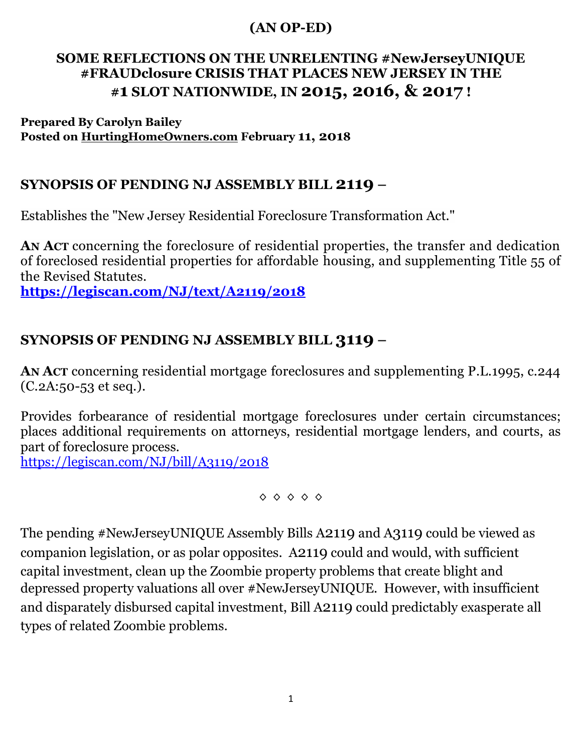## **(AN OP-ED)**

## **SOME REFLECTIONS ON THE UNRELENTING #NewJerseyUNIQUE #FRAUDclosure CRISIS THAT PLACES NEW JERSEY IN THE #1 SLOT NATIONWIDE, IN 2015, 2016, & 2017 !**

**Prepared By Carolyn Bailey Posted on HurtingHomeOwners.com February 11, 2018**

## **SYNOPSIS OF PENDING NJ ASSEMBLY BILL 2119 –**

Establishes the "New Jersey Residential Foreclosure Transformation Act."

**AN ACT** concerning the foreclosure of residential properties, the transfer and dedication of foreclosed residential properties for affordable housing, and supplementing Title 55 of the Revised Statutes.

**<https://legiscan.com/NJ/text/A2119/2018>**

## **SYNOPSIS OF PENDING NJ ASSEMBLY BILL 3119 –**

**AN ACT** concerning residential mortgage foreclosures and supplementing P.L.1995, c.244 (C.2A:50-53 et seq.).

Provides forbearance of residential mortgage foreclosures under certain circumstances; places additional requirements on attorneys, residential mortgage lenders, and courts, as part of foreclosure process.

<https://legiscan.com/NJ/bill/A3119/2018>

 $\Diamond \Diamond \Diamond \Diamond \Diamond$ 

The pending #NewJerseyUNIQUE Assembly Bills A2119 and A3119 could be viewed as companion legislation, or as polar opposites. A2119 could and would, with sufficient capital investment, clean up the Zoombie property problems that create blight and depressed property valuations all over #NewJerseyUNIQUE. However, with insufficient and disparately disbursed capital investment, Bill A2119 could predictably exasperate all types of related Zoombie problems.